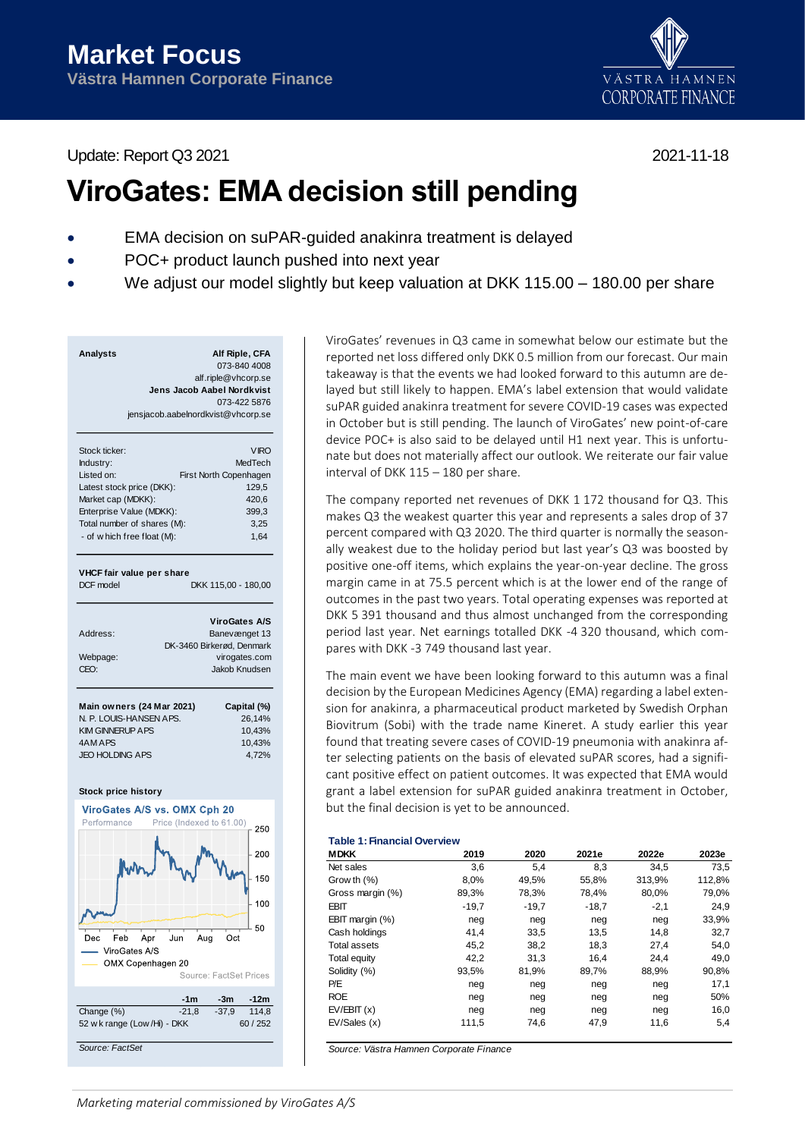Update: Report Q3 2021 2021-11-18



# **ViroGates: EMA decision still pending**

- EMA decision on suPAR-guided anakinra treatment is delayed
- POC+ product launch pushed into next year
- We adjust our model slightly but keep valuation at DKK 115.00 180.00 per share

| <b>Analysts</b> | Alf Riple, CFA                     |
|-----------------|------------------------------------|
|                 | 073-840 4008                       |
|                 | alf.riple@vhcorp.se                |
|                 | Jens Jacob Aabel Nordkvist         |
|                 | 073-422 5876                       |
|                 | jensjacob.aabelnordkvist@vhcorp.se |
|                 |                                    |

| Stock ticker:               | <b>VIRO</b>            |
|-----------------------------|------------------------|
| Industry:                   | MedTech                |
| Listed on:                  | First North Copenhagen |
| Latest stock price (DKK):   | 129.5                  |
| Market cap (MDKK):          | 420.6                  |
| Enterprise Value (MDKK):    | 399.3                  |
| Total number of shares (M): | 3.25                   |
| - of w hich free float (M): | 1.64                   |
|                             |                        |
|                             |                        |

### **VHCF fair value per share**

DCF model DKK 115,00 - 180,00

|                  | <b>ViroGates A/S</b>      |
|------------------|---------------------------|
| Address:         | Banevænget 13             |
|                  | DK-3460 Birkerød, Denmark |
| Webpage:         | virogates.com             |
| CFO <sup>.</sup> | Jakob Knudsen             |
|                  |                           |

| Main owners (24 Mar 2021) | Capital (%) |
|---------------------------|-------------|
| N. P. LOUIS-HANSEN APS.   | 26.14%      |
| <b>KIM GINNERUP APS</b>   | 10.43%      |
| 4AM APS                   | 10.43%      |
| <b>JEO HOLDING APS</b>    | 4.72%       |
|                           |             |

#### **Stock price history**



ViroGates' revenues in Q3 came in somewhat below our estimate but the reported net loss differed only DKK 0.5 million from our forecast. Our main takeaway is that the events we had looked forward to this autumn are delayed but still likely to happen. EMA's label extension that would validate suPAR guided anakinra treatment for severe COVID-19 cases was expected in October but is still pending. The launch of ViroGates' new point-of-care device POC+ is also said to be delayed until H1 next year. This is unfortunate but does not materially affect our outlook. We reiterate our fair value interval of DKK 115 – 180 per share.

The company reported net revenues of DKK 1 172 thousand for Q3. This makes Q3 the weakest quarter this year and represents a sales drop of 37 percent compared with Q3 2020. The third quarter is normally the seasonally weakest due to the holiday period but last year's Q3 was boosted by positive one-off items, which explains the year-on-year decline. The gross margin came in at 75.5 percent which is at the lower end of the range of outcomes in the past two years. Total operating expenses was reported at DKK 5 391 thousand and thus almost unchanged from the corresponding period last year. Net earnings totalled DKK -4 320 thousand, which compares with DKK -3 749 thousand last year.

The main event we have been looking forward to this autumn was a final decision by the European Medicines Agency (EMA) regarding a label extension for anakinra, a pharmaceutical product marketed by Swedish Orphan Biovitrum (Sobi) with the trade name Kineret. A study earlier this year found that treating severe cases of COVID-19 pneumonia with anakinra after selecting patients on the basis of elevated suPAR scores, had a significant positive effect on patient outcomes. It was expected that EMA would grant a label extension for suPAR guided anakinra treatment in October, but the final decision is yet to be announced.

# **Table 1: Financial Overview**

| <b>MDKK</b>         | 2019    | 2020    | 2021e   | 2022e  | 2023e  |
|---------------------|---------|---------|---------|--------|--------|
| Net sales           | 3,6     | 5,4     | 8,3     | 34.5   | 73.5   |
| Grow th $(\%)$      | 8,0%    | 49,5%   | 55,8%   | 313,9% | 112,8% |
| Gross margin (%)    | 89,3%   | 78,3%   | 78.4%   | 80,0%  | 79,0%  |
| <b>EBIT</b>         | $-19,7$ | $-19.7$ | $-18.7$ | $-2,1$ | 24,9   |
| EBIT margin $(\%)$  | neg     | neg     | neg     | neg    | 33,9%  |
| Cash holdings       | 41,4    | 33,5    | 13.5    | 14.8   | 32,7   |
| <b>Total assets</b> | 45,2    | 38,2    | 18,3    | 27,4   | 54,0   |
| Total equity        | 42,2    | 31,3    | 16.4    | 24,4   | 49,0   |
| Solidity (%)        | 93,5%   | 81,9%   | 89,7%   | 88,9%  | 90,8%  |
| P/E                 | neg     | neg     | neg     | neg    | 17,1   |
| <b>ROE</b>          | neg     | neg     | neg     | neg    | 50%    |
| EV/EBIT(x)          | neg     | neg     | neg     | neg    | 16,0   |
| EV/Sales(x)         | 111,5   | 74,6    | 47,9    | 11,6   | 5,4    |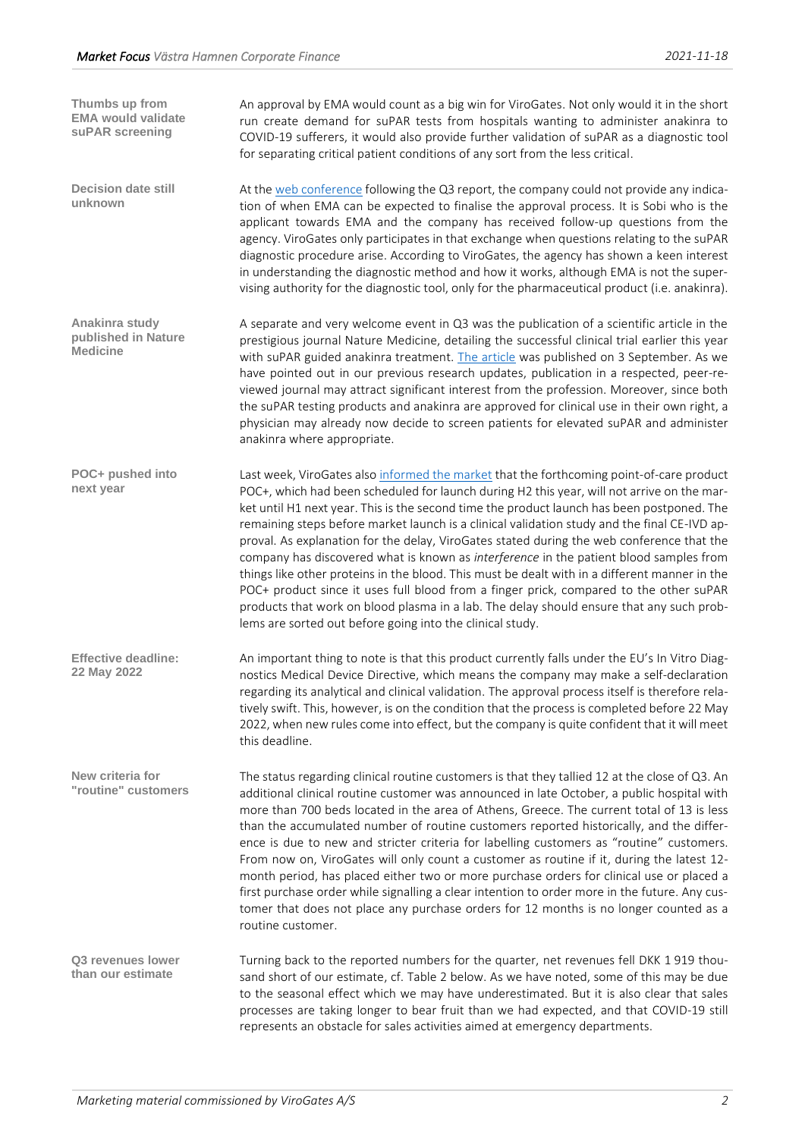| Thumbs up from<br><b>EMA would validate</b><br>suPAR screening | An approval by EMA would count as a big win for ViroGates. Not only would it in the short<br>run create demand for suPAR tests from hospitals wanting to administer anakinra to<br>COVID-19 sufferers, it would also provide further validation of suPAR as a diagnostic tool<br>for separating critical patient conditions of any sort from the less critical.                                                                                                                                                                                                                                                                                                                                                                                                                                                                                                                                                                 |
|----------------------------------------------------------------|---------------------------------------------------------------------------------------------------------------------------------------------------------------------------------------------------------------------------------------------------------------------------------------------------------------------------------------------------------------------------------------------------------------------------------------------------------------------------------------------------------------------------------------------------------------------------------------------------------------------------------------------------------------------------------------------------------------------------------------------------------------------------------------------------------------------------------------------------------------------------------------------------------------------------------|
| <b>Decision date still</b><br>unknown                          | At the web conference following the Q3 report, the company could not provide any indica-<br>tion of when EMA can be expected to finalise the approval process. It is Sobi who is the<br>applicant towards EMA and the company has received follow-up questions from the<br>agency. ViroGates only participates in that exchange when questions relating to the suPAR<br>diagnostic procedure arise. According to ViroGates, the agency has shown a keen interest<br>in understanding the diagnostic method and how it works, although EMA is not the super-<br>vising authority for the diagnostic tool, only for the pharmaceutical product (i.e. anakinra).                                                                                                                                                                                                                                                                   |
| Anakinra study<br>published in Nature<br><b>Medicine</b>       | A separate and very welcome event in Q3 was the publication of a scientific article in the<br>prestigious journal Nature Medicine, detailing the successful clinical trial earlier this year<br>with suPAR guided anakinra treatment. The article was published on 3 September. As we<br>have pointed out in our previous research updates, publication in a respected, peer-re-<br>viewed journal may attract significant interest from the profession. Moreover, since both<br>the suPAR testing products and anakinra are approved for clinical use in their own right, a<br>physician may already now decide to screen patients for elevated suPAR and administer<br>anakinra where appropriate.                                                                                                                                                                                                                            |
| POC+ pushed into<br>next year                                  | Last week, ViroGates also informed the market that the forthcoming point-of-care product<br>POC+, which had been scheduled for launch during H2 this year, will not arrive on the mar-<br>ket until H1 next year. This is the second time the product launch has been postponed. The<br>remaining steps before market launch is a clinical validation study and the final CE-IVD ap-<br>proval. As explanation for the delay, ViroGates stated during the web conference that the<br>company has discovered what is known as interference in the patient blood samples from<br>things like other proteins in the blood. This must be dealt with in a different manner in the<br>POC+ product since it uses full blood from a finger prick, compared to the other suPAR<br>products that work on blood plasma in a lab. The delay should ensure that any such prob-<br>lems are sorted out before going into the clinical study. |
| <b>Effective deadline:</b><br>22 May 2022                      | An important thing to note is that this product currently falls under the EU's In Vitro Diag-<br>nostics Medical Device Directive, which means the company may make a self-declaration<br>regarding its analytical and clinical validation. The approval process itself is therefore rela-<br>tively swift. This, however, is on the condition that the process is completed before 22 May<br>2022, when new rules come into effect, but the company is quite confident that it will meet<br>this deadline.                                                                                                                                                                                                                                                                                                                                                                                                                     |
| New criteria for<br>"routine" customers                        | The status regarding clinical routine customers is that they tallied 12 at the close of Q3. An<br>additional clinical routine customer was announced in late October, a public hospital with<br>more than 700 beds located in the area of Athens, Greece. The current total of 13 is less<br>than the accumulated number of routine customers reported historically, and the differ-<br>ence is due to new and stricter criteria for labelling customers as "routine" customers.<br>From now on, ViroGates will only count a customer as routine if it, during the latest 12-<br>month period, has placed either two or more purchase orders for clinical use or placed a<br>first purchase order while signalling a clear intention to order more in the future. Any cus-<br>tomer that does not place any purchase orders for 12 months is no longer counted as a<br>routine customer.                                        |
| Q3 revenues lower<br>than our estimate                         | Turning back to the reported numbers for the quarter, net revenues fell DKK 1919 thou-<br>sand short of our estimate, cf. Table 2 below. As we have noted, some of this may be due<br>to the seasonal effect which we may have underestimated. But it is also clear that sales<br>processes are taking longer to bear fruit than we had expected, and that COVID-19 still<br>represents an obstacle for sales activities aimed at emergency departments.                                                                                                                                                                                                                                                                                                                                                                                                                                                                        |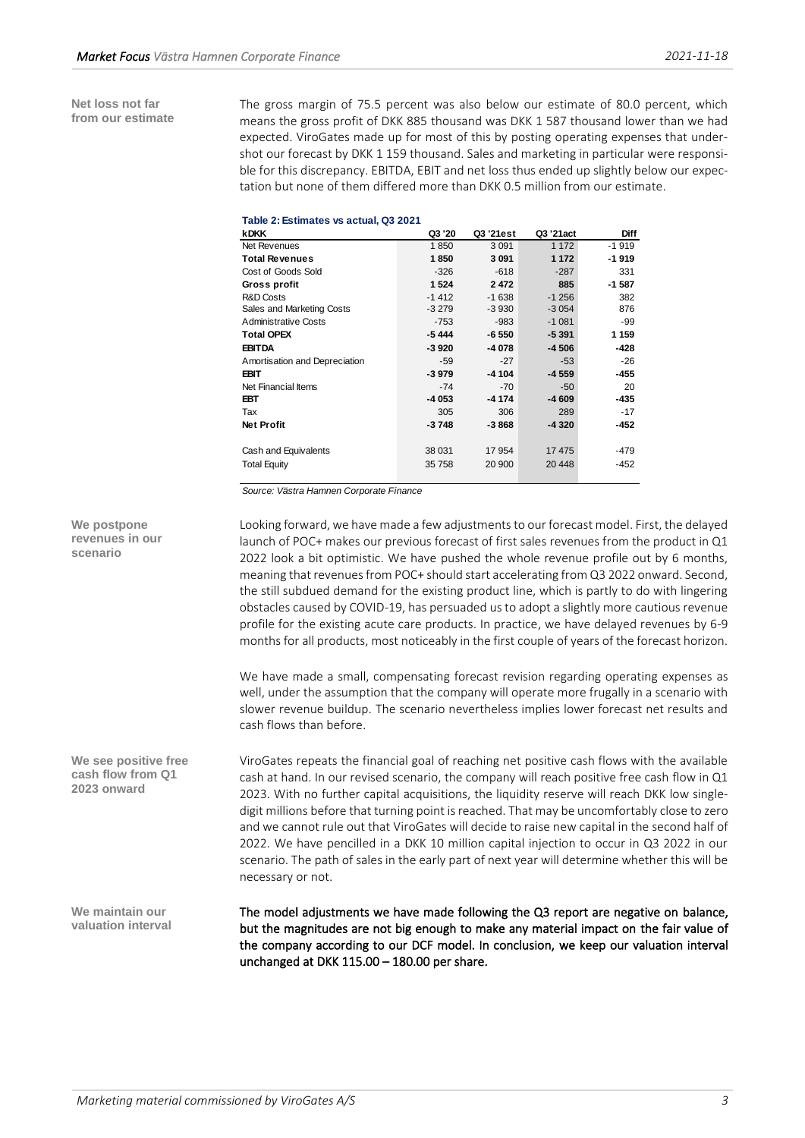**Net loss not far from our estimate** The gross margin of 75.5 percent was also below our estimate of 80.0 percent, which means the gross profit of DKK 885 thousand was DKK 1 587 thousand lower than we had expected. ViroGates made up for most of this by posting operating expenses that undershot our forecast by DKK 1 159 thousand. Sales and marketing in particular were responsible for this discrepancy. EBITDA, EBIT and net loss thus ended up slightly below our expectation but none of them differed more than DKK 0.5 million from our estimate.

| Table 2: Estimates vs actual, Q3 2021 |  |
|---------------------------------------|--|
|---------------------------------------|--|

| <b>kDKK</b>                   | Q3 '20  | Q3 '21est | Q3 '21act | <b>Diff</b> |
|-------------------------------|---------|-----------|-----------|-------------|
| Net Revenues                  | 1850    | 3091      | 1 1 7 2   | $-1919$     |
| <b>Total Revenues</b>         | 1850    | 3091      | 1 1 7 2   | $-1919$     |
| Cost of Goods Sold            | $-326$  | $-618$    | $-287$    | 331         |
| Gross profit                  | 1524    | 2472      | 885       | $-1587$     |
| <b>R&amp;D Costs</b>          | $-1412$ | $-1638$   | $-1256$   | 382         |
| Sales and Marketing Costs     | $-3279$ | $-3930$   | $-3054$   | 876         |
| <b>Administrative Costs</b>   | $-753$  | -983      | $-1081$   | -99         |
| <b>Total OPEX</b>             | $-5444$ | $-6550$   | $-5391$   | 1 1 5 9     |
| <b>EBITDA</b>                 | $-3920$ | $-4078$   | $-4506$   | -428        |
| Amortisation and Depreciation | $-59$   | $-27$     | $-53$     | $-26$       |
| <b>EBIT</b>                   | $-3979$ | $-4104$   | $-4559$   | -455        |
| Net Financial Items           | $-74$   | $-70$     | $-50$     | 20          |
| <b>EBT</b>                    | $-4053$ | $-4174$   | $-4609$   | -435        |
| Tax                           | 305     | 306       | 289       | $-17$       |
| <b>Net Profit</b>             | -3748   | -3 868    | -4 320    | -452        |
|                               |         |           |           |             |
| Cash and Equivalents          | 38 031  | 17954     | 17475     | -479        |
| <b>Total Equity</b>           | 35 758  | 20 900    | 20 448    | $-452$      |
|                               |         |           |           |             |

*Source: Västra Hamnen Corporate Finance*

Looking forward, we have made a few adjustments to our forecast model. First, the delayed launch of POC+ makes our previous forecast of first sales revenues from the product in Q1 2022 look a bit optimistic. We have pushed the whole revenue profile out by 6 months, meaning that revenues from POC+ should start accelerating from Q3 2022 onward. Second, the still subdued demand for the existing product line, which is partly to do with lingering obstacles caused by COVID-19, has persuaded us to adopt a slightly more cautious revenue profile for the existing acute care products. In practice, we have delayed revenues by 6-9 months for all products, most noticeably in the first couple of years of the forecast horizon.

We have made a small, compensating forecast revision regarding operating expenses as well, under the assumption that the company will operate more frugally in a scenario with slower revenue buildup. The scenario nevertheless implies lower forecast net results and cash flows than before.

ViroGates repeats the financial goal of reaching net positive cash flows with the available cash at hand. In our revised scenario, the company will reach positive free cash flow in Q1 2023. With no further capital acquisitions, the liquidity reserve will reach DKK low singledigit millions before that turning point is reached. That may be uncomfortably close to zero and we cannot rule out that ViroGates will decide to raise new capital in the second half of 2022. We have pencilled in a DKK 10 million capital injection to occur in Q3 2022 in our scenario. The path of sales in the early part of next year will determine whether this will be necessary or not.

The model adjustments we have made following the Q3 report are negative on balance, but the magnitudes are not big enough to make any material impact on the fair value of the company according to our DCF model. In conclusion, we keep our valuation interval unchanged at DKK 115.00 – 180.00 per share.

**We postpone revenues in our scenario**

**We see positive free cash flow from Q1 2023 onward**

**We maintain our valuation interval**

*Marketing material commissioned by ViroGates A/S 3*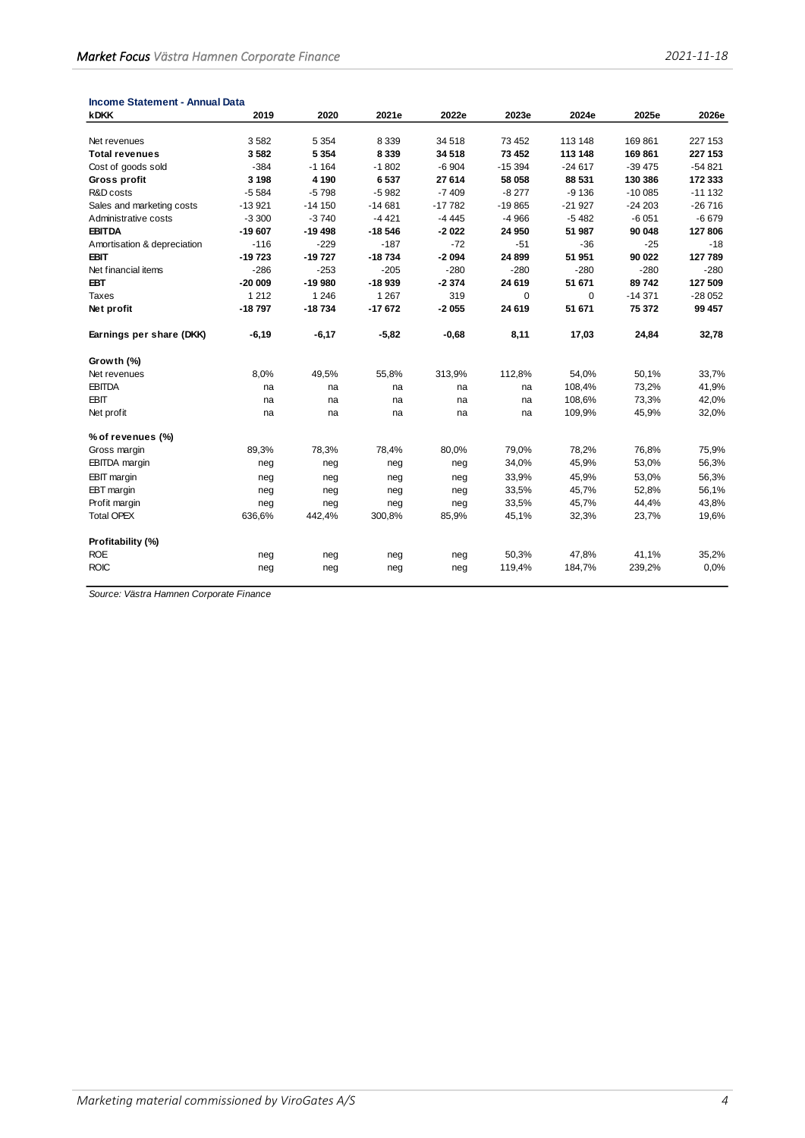| <b>Income Statement - Annual Data</b> |          |          |          |          |          |             |           |          |
|---------------------------------------|----------|----------|----------|----------|----------|-------------|-----------|----------|
| <b>kDKK</b>                           | 2019     | 2020     | 2021e    | 2022e    | 2023e    | 2024e       | 2025e     | 2026e    |
| Net revenues                          | 3582     | 5 3 5 4  | 8 3 3 9  | 34 518   | 73 452   | 113 148     | 169861    | 227 153  |
| <b>Total revenues</b>                 | 3582     | 5 3 5 4  | 8 3 3 9  | 34 518   | 73 452   | 113 148     | 169 861   | 227 153  |
| Cost of goods sold                    | $-384$   | $-1164$  | $-1802$  | $-6904$  | $-15394$ | $-24617$    | $-39475$  | $-54821$ |
| Gross profit                          | 3 1 9 8  | 4 1 9 0  | 6537     | 27 614   | 58 058   | 88 531      | 130 386   | 172 333  |
| R&D costs                             | $-5584$  | $-5798$  | $-5982$  | $-7409$  | $-8277$  | $-9136$     | $-100085$ | $-11132$ |
| Sales and marketing costs             | $-13921$ | $-14150$ | $-14681$ | $-17782$ | $-19865$ | $-21927$    | $-24203$  | $-26716$ |
| Administrative costs                  | $-3300$  | $-3740$  | $-4421$  | $-4445$  | $-4966$  | $-5482$     | $-6051$   | $-6679$  |
| <b>EBITDA</b>                         | $-19607$ | $-19498$ | $-18546$ | $-2022$  | 24 950   | 51 987      | 90 048    | 127 806  |
| Amortisation & depreciation           | $-116$   | $-229$   | $-187$   | $-72$    | $-51$    | $-36$       | $-25$     | $-18$    |
| EBIT                                  | $-19723$ | $-19727$ | $-18734$ | $-2094$  | 24 899   | 51 951      | 90 022    | 127 789  |
| Net financial items                   | $-286$   | $-253$   | $-205$   | $-280$   | $-280$   | $-280$      | $-280$    | $-280$   |
| EBT                                   | $-20009$ | $-19980$ | $-18939$ | $-2374$  | 24 619   | 51 671      | 89742     | 127 509  |
| Taxes                                 | 1 2 1 2  | 1 2 4 6  | 1 2 6 7  | 319      | 0        | $\mathbf 0$ | $-14371$  | $-28052$ |
| Net profit                            | $-18797$ | $-18734$ | $-17672$ | $-2055$  | 24 619   | 51 671      | 75 372    | 99 457   |
| Earnings per share (DKK)              | $-6,19$  | $-6,17$  | $-5,82$  | $-0,68$  | 8,11     | 17,03       | 24,84     | 32,78    |
| Growth (%)                            |          |          |          |          |          |             |           |          |
| Net revenues                          | 8,0%     | 49,5%    | 55,8%    | 313,9%   | 112,8%   | 54,0%       | 50,1%     | 33,7%    |
| <b>EBITDA</b>                         | na       | na       | na       | na       | na       | 108,4%      | 73,2%     | 41,9%    |
| <b>EBIT</b>                           | na       | na       | na       | na       | na       | 108,6%      | 73,3%     | 42,0%    |
| Net profit                            | na       | na       | na       | na       | na       | 109,9%      | 45,9%     | 32,0%    |
| % of revenues (%)                     |          |          |          |          |          |             |           |          |
| Gross margin                          | 89,3%    | 78,3%    | 78,4%    | 80,0%    | 79,0%    | 78,2%       | 76,8%     | 75,9%    |
| <b>EBITDA</b> margin                  | neg      | neg      | neg      | neg      | 34,0%    | 45,9%       | 53,0%     | 56,3%    |
| <b>EBIT</b> margin                    | neg      | neg      | neg      | neg      | 33,9%    | 45,9%       | 53,0%     | 56,3%    |
| EBT margin                            | neg      | neg      | neg      | neg      | 33,5%    | 45,7%       | 52,8%     | 56,1%    |
| Profit margin                         | neg      | neg      | neg      | neg      | 33,5%    | 45,7%       | 44,4%     | 43,8%    |
| <b>Total OPEX</b>                     | 636,6%   | 442,4%   | 300,8%   | 85,9%    | 45,1%    | 32,3%       | 23,7%     | 19,6%    |
| Profitability (%)                     |          |          |          |          |          |             |           |          |
| <b>ROE</b>                            | neg      | neg      | neg      | neg      | 50,3%    | 47,8%       | 41,1%     | 35,2%    |
| <b>ROIC</b>                           | neg      | neg      | neg      | neg      | 119,4%   | 184,7%      | 239,2%    | 0.0%     |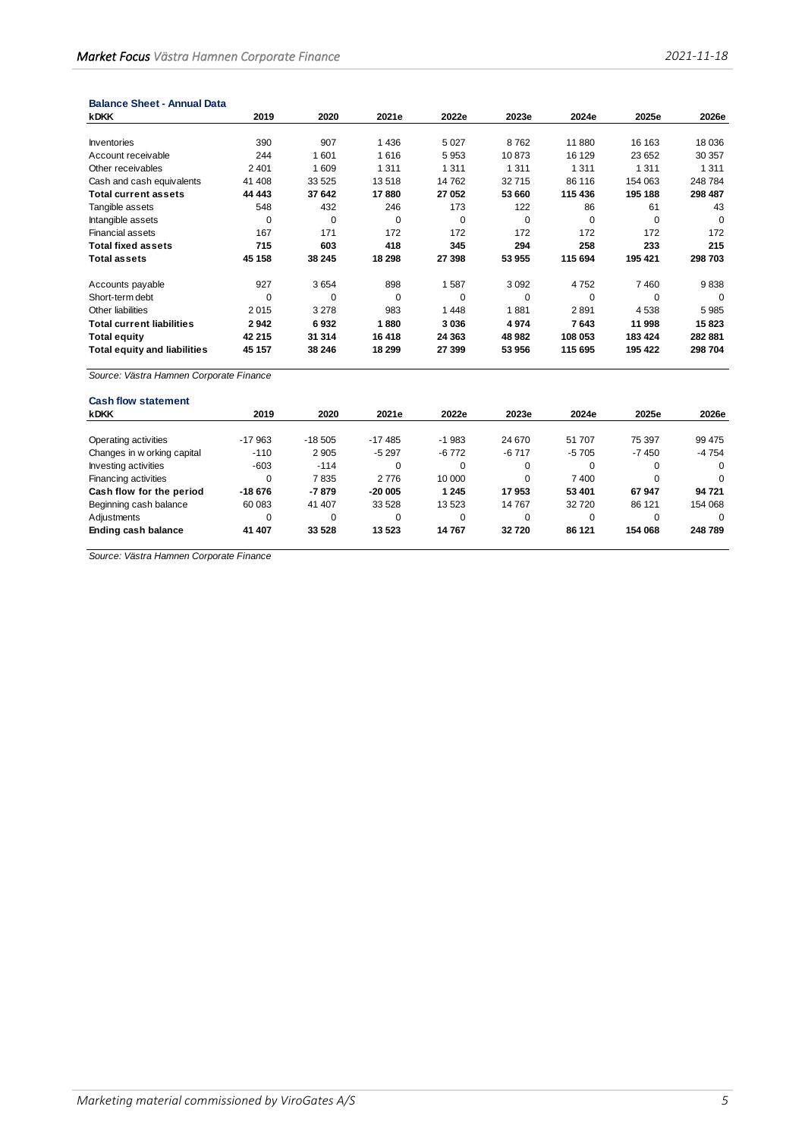| <b>Balance Sheet - Annual Data</b>  |          |          |             |          |          |          |          |          |
|-------------------------------------|----------|----------|-------------|----------|----------|----------|----------|----------|
| <b>kDKK</b>                         | 2019     | 2020     | 2021e       | 2022e    | 2023e    | 2024e    | 2025e    | 2026e    |
|                                     |          |          |             |          |          |          |          |          |
| Inventories                         | 390      | 907      | 1436        | 5027     | 8762     | 11 880   | 16 163   | 18 0 36  |
| Account receivable                  | 244      | 1601     | 1616        | 5953     | 10873    | 16 129   | 23 652   | 30 357   |
| Other receivables                   | 2 4 0 1  | 609      | 1 3 1 1     | 1 3 1 1  | 1 3 1 1  | 1 3 1 1  | 1 3 1 1  | 1 3 1 1  |
| Cash and cash equivalents           | 41 408   | 33 525   | 13518       | 14 762   | 32715    | 86 116   | 154 063  | 248 784  |
| <b>Total current assets</b>         | 44 443   | 37 642   | 17880       | 27 052   | 53 660   | 115 436  | 195 188  | 298 487  |
| Tangible assets                     | 548      | 432      | 246         | 173      | 122      | 86       | 61       | 43       |
| Intangible assets                   | $\Omega$ | $\Omega$ | $\mathbf 0$ | $\Omega$ | $\Omega$ | $\Omega$ | $\Omega$ | $\Omega$ |
| <b>Financial assets</b>             | 167      | 171      | 172         | 172      | 172      | 172      | 172      | 172      |
| <b>Total fixed assets</b>           | 715      | 603      | 418         | 345      | 294      | 258      | 233      | 215      |
| <b>Total assets</b>                 | 45 158   | 38 245   | 18 298      | 27 398   | 53 955   | 115 694  | 195 421  | 298 703  |
| Accounts payable                    | 927      | 3654     | 898         | 1587     | 3092     | 4752     | 7460     | 9838     |
| Short-term debt                     | $\Omega$ | $\Omega$ | 0           | $\Omega$ | 0        | $\Omega$ | 0        | $\Omega$ |
| Other liabilities                   | 2015     | 3 2 7 8  | 983         | 1448     | 1881     | 2891     | 4538     | 5985     |
| <b>Total current liabilities</b>    | 2942     | 6932     | 1880        | 3036     | 4974     | 7643     | 11 998   | 15823    |
| <b>Total equity</b>                 | 42 215   | 31 314   | 16 4 18     | 24 3 63  | 48 982   | 108 053  | 183 424  | 282 881  |
| <b>Total equity and liabilities</b> | 45 157   | 38 246   | 18 299      | 27 399   | 53 956   | 115 695  | 195 422  | 298 704  |

| <b>Cash flow statement</b>  |          |          |          |          |         |          |          |          |
|-----------------------------|----------|----------|----------|----------|---------|----------|----------|----------|
| <b>kDKK</b>                 | 2019     | 2020     | 2021e    | 2022e    | 2023e   | 2024e    | 2025e    | 2026e    |
|                             |          |          |          |          |         |          |          |          |
| Operating activities        | $-17963$ | $-18505$ | $-17485$ | $-1983$  | 24 670  | 51 707   | 75 397   | 99 475   |
| Changes in w orking capital | $-110$   | 2 9 0 5  | $-5297$  | $-6772$  | $-6717$ | $-5705$  | -7450    | -4 754   |
| Investing activities        | $-603$   | $-114$   | 0        | 0        | 0       | 0        | 0        | 0        |
| Financing activities        | $\Omega$ | 7835     | 2 7 7 6  | 10 000   | 0       | 7400     | $\Omega$ | $\Omega$ |
| Cash flow for the period    | $-18676$ | $-7879$  | $-20005$ | 1 2 4 5  | 17953   | 53 401   | 67947    | 94 721   |
| Beginning cash balance      | 60 083   | 41 407   | 33 528   | 13 5 23  | 14 7 67 | 32720    | 86 121   | 154 068  |
| Adjustments                 | 0        | 0        | $\Omega$ | $\Omega$ | 0       | $\Omega$ | $\Omega$ | $\Omega$ |
| Ending cash balance         | 41 407   | 33 528   | 13 5 23  | 14767    | 32720   | 86 121   | 154 068  | 248 789  |
|                             |          |          |          |          |         |          |          |          |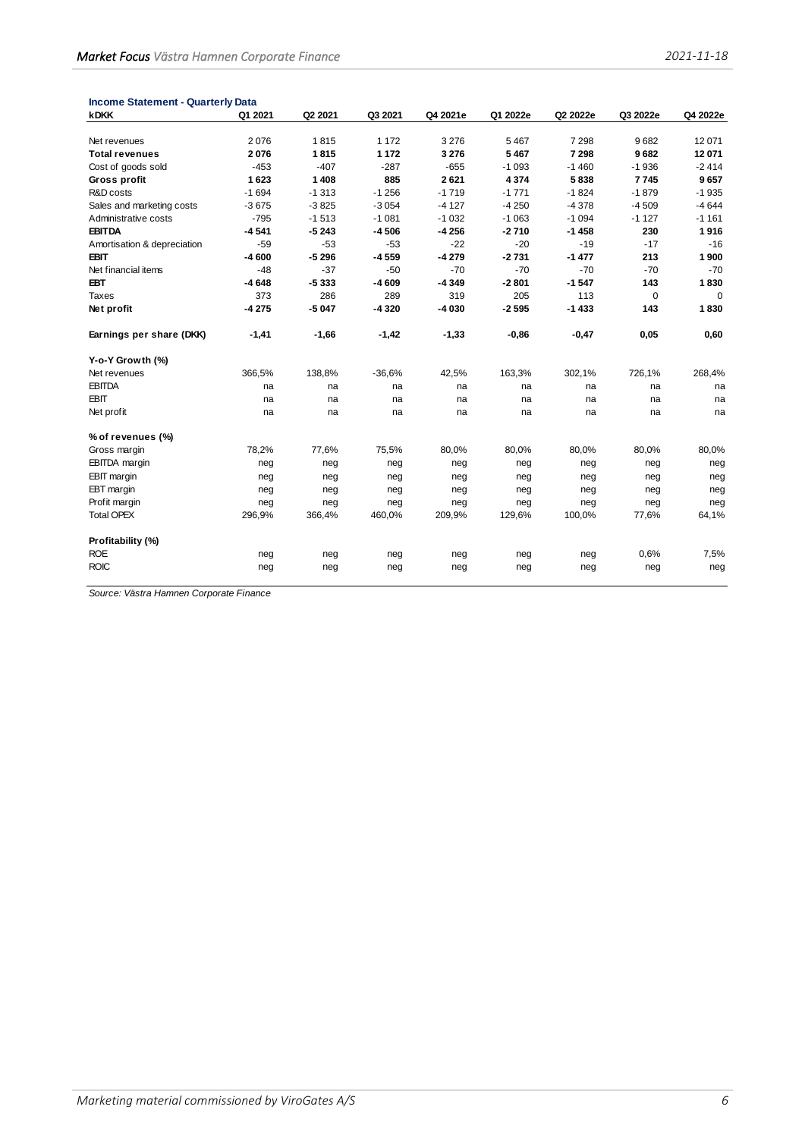| <b>Income Statement - Quarterly Data</b> |         |         |          |          |          |          |          |             |
|------------------------------------------|---------|---------|----------|----------|----------|----------|----------|-------------|
| <b>kDKK</b>                              | Q1 2021 | Q2 2021 | Q3 2021  | Q4 2021e | Q1 2022e | Q2 2022e | Q3 2022e | Q4 2022e    |
|                                          |         |         |          |          |          |          |          |             |
| Net revenues                             | 2076    | 1815    | 1 1 7 2  | 3 2 7 6  | 5 4 6 7  | 7 2 9 8  | 9682     | 12 071      |
| <b>Total revenues</b>                    | 2076    | 1815    | 1 1 7 2  | 3 2 7 6  | 5467     | 7 2 9 8  | 9682     | 12 071      |
| Cost of goods sold                       | $-453$  | $-407$  | $-287$   | $-655$   | $-1093$  | $-1460$  | $-1936$  | $-2414$     |
| Gross profit                             | 1623    | 1 4 0 8 | 885      | 2621     | 4 3 7 4  | 5838     | 7745     | 9657        |
| R&D costs                                | $-1694$ | $-1313$ | $-1256$  | $-1719$  | $-1771$  | $-1824$  | $-1879$  | $-1935$     |
| Sales and marketing costs                | $-3675$ | $-3825$ | $-3054$  | $-4127$  | $-4250$  | $-4378$  | $-4509$  | $-4644$     |
| Administrative costs                     | $-795$  | $-1513$ | $-1081$  | $-1032$  | $-1063$  | $-1094$  | $-1127$  | $-1161$     |
| <b>EBITDA</b>                            | $-4541$ | $-5243$ | $-4506$  | $-4256$  | $-2710$  | $-1458$  | 230      | 1916        |
| Amortisation & depreciation              | $-59$   | $-53$   | $-53$    | $-22$    | $-20$    | $-19$    | $-17$    | $-16$       |
| <b>EBIT</b>                              | $-4600$ | $-5296$ | $-4559$  | $-4279$  | $-2731$  | $-1477$  | 213      | 1 900       |
| Net financial items                      | $-48$   | $-37$   | $-50$    | $-70$    | $-70$    | $-70$    | $-70$    | $-70$       |
| <b>EBT</b>                               | $-4648$ | $-5333$ | $-4609$  | $-4349$  | $-2801$  | $-1547$  | 143      | 1830        |
| <b>Taxes</b>                             | 373     | 286     | 289      | 319      | 205      | 113      | 0        | $\mathbf 0$ |
| Net profit                               | $-4275$ | $-5047$ | -4 320   | $-4030$  | $-2595$  | $-1433$  | 143      | 1830        |
| Earnings per share (DKK)                 | $-1,41$ | $-1,66$ | $-1,42$  | $-1,33$  | $-0,86$  | $-0,47$  | 0,05     | 0,60        |
| Y-o-Y Growth (%)                         |         |         |          |          |          |          |          |             |
| Net revenues                             | 366,5%  | 138,8%  | $-36,6%$ | 42,5%    | 163,3%   | 302,1%   | 726,1%   | 268,4%      |
| <b>EBITDA</b>                            | na      | na      | na       | na       | na       | na       | na       | na          |
| <b>EBIT</b>                              | na      | na      | na       | na       | na       | na       | na       | na          |
| Net profit                               | na      | na      | na       | na       | na       | na       | na       | na          |
| % of revenues (%)                        |         |         |          |          |          |          |          |             |
| Gross margin                             | 78,2%   | 77,6%   | 75,5%    | 80,0%    | 80,0%    | 80,0%    | 80,0%    | 80,0%       |
| EBITDA margin                            | neg     | neg     | neg      | neg      | neg      | neg      | neg      | neg         |
| <b>EBIT</b> margin                       | neg     | neg     | neg      | neg      | neg      | neg      | neg      | neg         |
| EBT margin                               | neg     | neg     | neg      | neg      | neg      | neg      | neg      | neg         |
| Profit margin                            | neg     | neg     | neg      | neg      | neg      | neg      | neg      | neg         |
| <b>Total OPEX</b>                        | 296,9%  | 366,4%  | 460,0%   | 209,9%   | 129,6%   | 100,0%   | 77,6%    | 64,1%       |
| Profitability (%)                        |         |         |          |          |          |          |          |             |
| <b>ROE</b>                               | neg     | neg     | neg      | neg      | neg      | neg      | 0,6%     | 7,5%        |
| <b>ROIC</b>                              | neg     | neg     | neg      | neg      | neg      | neg      | neg      | neg         |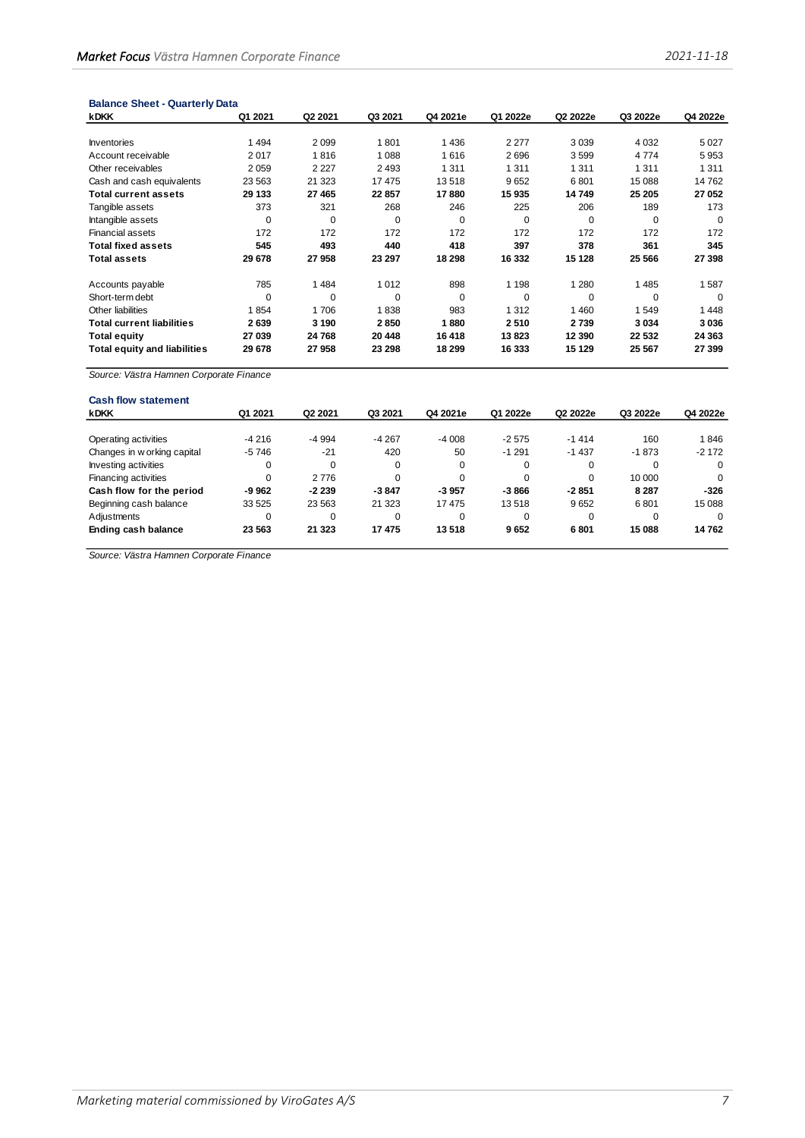| <b>Balance Sheet - Quarterly Data</b> |  |
|---------------------------------------|--|
|---------------------------------------|--|

| <b>kDKK</b>                         | Q1 2021  | Q <sub>2</sub> 2021 | Q3 2021     | Q4 2021e | Q1 2022e | Q2 2022e | Q3 2022e | Q4 2022e |
|-------------------------------------|----------|---------------------|-------------|----------|----------|----------|----------|----------|
|                                     |          |                     |             |          |          |          |          |          |
| <b>Inventories</b>                  | 1494     | 2099                | 1801        | 1436     | 2 2 7 7  | 3 0 3 9  | 4 0 3 2  | 5 0 2 7  |
| Account receivable                  | 2017     | 1816                | 1 0 8 8     | 1616     | 2696     | 3599     | 4 7 7 4  | 5953     |
| Other receivables                   | 2059     | 2 2 2 7             | 2 4 9 3     | 1 3 1 1  | 1 3 1 1  | 1 3 1 1  | 1 3 1 1  | 1 3 1 1  |
| Cash and cash equivalents           | 23 5 63  | 21 3 23             | 17475       | 13518    | 9652     | 6801     | 15 088   | 14762    |
| <b>Total current assets</b>         | 29 133   | 27 465              | 22857       | 17880    | 15935    | 14749    | 25 205   | 27 052   |
| Tangible assets                     | 373      | 321                 | 268         | 246      | 225      | 206      | 189      | 173      |
| Intangible assets                   | $\Omega$ | $\Omega$            | $\mathbf 0$ | $\Omega$ | $\Omega$ | $\Omega$ | 0        | $\Omega$ |
| <b>Financial assets</b>             | 172      | 172                 | 172         | 172      | 172      | 172      | 172      | 172      |
| <b>Total fixed assets</b>           | 545      | 493                 | 440         | 418      | 397      | 378      | 361      | 345      |
| <b>Total assets</b>                 | 29 678   | 27958               | 23 297      | 18 298   | 16 332   | 15 128   | 25 5 66  | 27 398   |
| Accounts payable                    | 785      | 1484                | 1 0 1 2     | 898      | 1 1 9 8  | 1 2 8 0  | 1485     | 1587     |
| Short-term debt                     | $\Omega$ | $\Omega$            | $\mathbf 0$ | $\Omega$ | $\Omega$ | $\Omega$ | $\Omega$ | $\Omega$ |
| Other liabilities                   | 1854     | 1706                | 1838        | 983      | 1 3 1 2  | 1460     | 1549     | 1448     |
| <b>Total current liabilities</b>    | 2639     | 3 1 9 0             | 2850        | 1880     | 2510     | 2739     | 3 0 3 4  | 3036     |
| <b>Total equity</b>                 | 27 039   | 24768               | 20 448      | 16 418   | 13823    | 12 3 9 0 | 22 532   | 24 363   |
| <b>Total equity and liabilities</b> | 29 678   | 27958               | 23 298      | 18 299   | 16 333   | 15 129   | 25 567   | 27 399   |

| <b>Cash flow statement</b>  |          |                     |         |          |          |          |          |          |
|-----------------------------|----------|---------------------|---------|----------|----------|----------|----------|----------|
| <b>kDKK</b>                 | Q1 2021  | Q <sub>2</sub> 2021 | Q3 2021 | Q4 2021e | Q1 2022e | Q2 2022e | Q3 2022e | Q4 2022e |
|                             |          |                     |         |          |          |          |          |          |
| Operating activities        | $-4216$  | -4 994              | $-4267$ | $-4008$  | $-2575$  | $-1414$  | 160      | 1846     |
| Changes in w orking capital | $-5746$  | $-21$               | 420     | 50       | $-1291$  | $-1437$  | $-1873$  | $-2172$  |
| Investing activities        | 0        | 0                   | 0       | 0        | $\Omega$ | 0        | $\Omega$ |          |
| Financing activities        | $\Omega$ | 2 7 7 6             | 0       | $\Omega$ | $\Omega$ | $\Omega$ | 10 000   |          |
| Cash flow for the period    | $-9962$  | $-2239$             | $-3847$ | $-3957$  | $-3866$  | $-2851$  | 8 2 8 7  | $-326$   |
| Beginning cash balance      | 33 5 25  | 23 5 63             | 21 3 23 | 17475    | 13518    | 9652     | 6801     | 15 088   |
| Adjustments                 | 0        | 0                   | 0       | $\Omega$ | $\Omega$ | $\Omega$ | $\Omega$ |          |
| Ending cash balance         | 23 563   | 21 3 23             | 17475   | 13518    | 9652     | 6801     | 15 088   | 14762    |